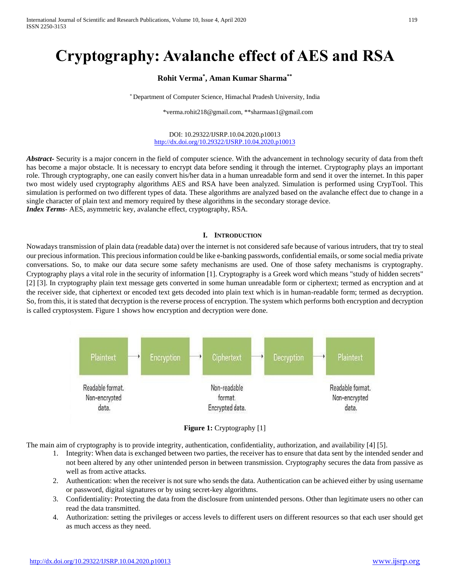# **Cryptography: Avalanche effect of AES and RSA**

# **Rohit Verma\* , Aman Kumar Sharma\*\***

\* Department of Computer Science, Himachal Pradesh University, India

\*verma.rohit218@gmail.com, \*\*sharmaas1@gmail.com

#### DOI: 10.29322/IJSRP.10.04.2020.p10013 <http://dx.doi.org/10.29322/IJSRP.10.04.2020.p10013>

*Abstract***-** Security is a major concern in the field of computer science. With the advancement in technology security of data from theft has become a major obstacle. It is necessary to encrypt data before sending it through the internet. Cryptography plays an important role. Through cryptography, one can easily convert his/her data in a human unreadable form and send it over the internet. In this paper two most widely used cryptography algorithms AES and RSA have been analyzed. Simulation is performed using CrypTool. This simulation is performed on two different types of data. These algorithms are analyzed based on the avalanche effect due to change in a single character of plain text and memory required by these algorithms in the secondary storage device. *Index Terms*- AES, asymmetric key, avalanche effect, cryptography, RSA.

#### **I. INTRODUCTION**

Nowadays transmission of plain data (readable data) over the internet is not considered safe because of various intruders, that try to steal our precious information. This precious information could be like e-banking passwords, confidential emails, or some social media private conversations. So, to make our data secure some safety mechanisms are used. One of those safety mechanisms is cryptography. Cryptography plays a vital role in the security of information [1]. Cryptography is a Greek word which means "study of hidden secrets" [2] [3]. In cryptography plain text message gets converted in some human unreadable form or ciphertext; termed as encryption and at the receiver side, that ciphertext or encoded text gets decoded into plain text which is in human-readable form; termed as decryption. So, from this, it is stated that decryption is the reverse process of encryption. The system which performs both encryption and decryption is called cryptosystem. Figure 1 shows how encryption and decryption were done.



**Figure 1:** Cryptography [1]

The main aim of cryptography is to provide integrity, authentication, confidentiality, authorization, and availability [4] [5].

- 1. Integrity: When data is exchanged between two parties, the receiver has to ensure that data sent by the intended sender and not been altered by any other unintended person in between transmission. Cryptography secures the data from passive as well as from active attacks.
- 2. Authentication: when the receiver is not sure who sends the data. Authentication can be achieved either by using username or password, digital signatures or by using secret-key algorithms.
- 3. Confidentiality: Protecting the data from the disclosure from unintended persons. Other than legitimate users no other can read the data transmitted.
- 4. Authorization: setting the privileges or access levels to different users on different resources so that each user should get as much access as they need.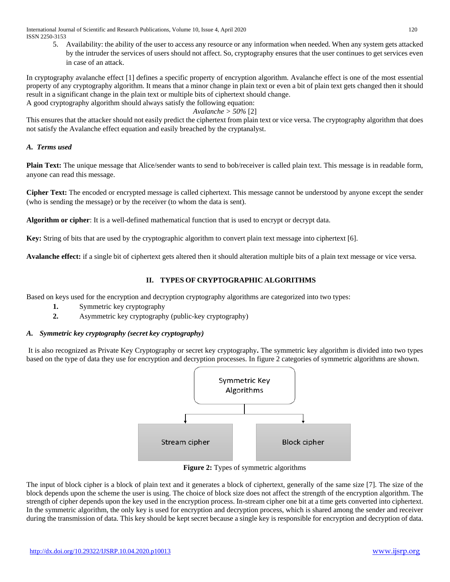5. Availability: the ability of the user to access any resource or any information when needed. When any system gets attacked by the intruder the services of users should not affect. So, cryptography ensures that the user continues to get services even in case of an attack.

In cryptography avalanche effect [1] defines a specific property of encryption algorithm. Avalanche effect is one of the most essential property of any cryptography algorithm. It means that a minor change in plain text or even a bit of plain text gets changed then it should result in a significant change in the plain text or multiple bits of ciphertext should change. A good cryptography algorithm should always satisfy the following equation:

## *Avalanche > 50%* [2]

This ensures that the attacker should not easily predict the ciphertext from plain text or vice versa. The cryptography algorithm that does not satisfy the Avalanche effect equation and easily breached by the cryptanalyst.

## *A. Terms used*

**Plain Text:** The unique message that Alice/sender wants to send to bob/receiver is called plain text. This message is in readable form, anyone can read this message.

**Cipher Text:** The encoded or encrypted message is called ciphertext. This message cannot be understood by anyone except the sender (who is sending the message) or by the receiver (to whom the data is sent).

**Algorithm or cipher**: It is a well-defined mathematical function that is used to encrypt or decrypt data.

**Key:** String of bits that are used by the cryptographic algorithm to convert plain text message into ciphertext [6].

**Avalanche effect:** if a single bit of ciphertext gets altered then it should alteration multiple bits of a plain text message or vice versa.

# **II. TYPES OF CRYPTOGRAPHIC ALGORITHMS**

Based on keys used for the encryption and decryption cryptography algorithms are categorized into two types:

- **1.** Symmetric key cryptography
- **2.** Asymmetric key cryptography (public-key cryptography)

## *A. Symmetric key cryptography (secret key cryptography)*

It is also recognized as Private Key Cryptography or secret key cryptography**.** The symmetric key algorithm is divided into two types based on the type of data they use for encryption and decryption processes. In figure 2 categories of symmetric algorithms are shown.



**Figure 2:** Types of symmetric algorithms

The input of block cipher is a block of plain text and it generates a block of ciphertext, generally of the same size [7]. The size of the block depends upon the scheme the user is using. The choice of block size does not affect the strength of the encryption algorithm. The strength of cipher depends upon the key used in the encryption process. In-stream cipher one bit at a time gets converted into ciphertext. In the symmetric algorithm, the only key is used for encryption and decryption process, which is shared among the sender and receiver during the transmission of data. This key should be kept secret because a single key is responsible for encryption and decryption of data.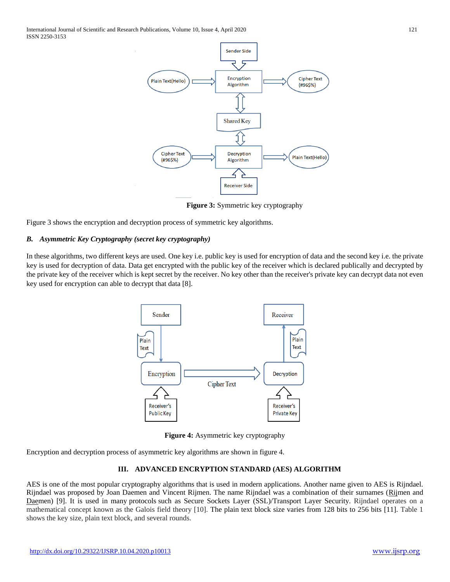International Journal of Scientific and Research Publications, Volume 10, Issue 4, April 2020 121 ISSN 2250-3153



**Figure 3:** Symmetric key cryptography

Figure 3 shows the encryption and decryption process of symmetric key algorithms.

## *B. Asymmetric Key Cryptography (secret key cryptography)*

In these algorithms, two different keys are used. One key i.e. public key is used for encryption of data and the second key i.e. the private key is used for decryption of data. Data get encrypted with the public key of the receiver which is declared publically and decrypted by the private key of the receiver which is kept secret by the receiver. No key other than the receiver's private key can decrypt data not even key used for encryption can able to decrypt that data [8].



**Figure 4:** Asymmetric key cryptography

Encryption and decryption process of asymmetric key algorithms are shown in figure 4.

#### **III. ADVANCED ENCRYPTION STANDARD (AES) ALGORITHM**

AES is one of the most popular cryptography algorithms that is used in modern applications. Another name given to AES is Rijndael. Rijndael was proposed by Joan Daemen and Vincent Rijmen. The name Rijndael was a combination of their surnames (Rijmen and Daemen) [9]. It is used in many [protocols](https://searchnetworking.techtarget.com/definition/protocol) such as Secure Sockets Layer [\(SSL\)](https://searchsecurity.techtarget.com/definition/Secure-Sockets-Layer-SSL)/Transport Layer Security. Rijndael operates on a mathematical concept known as the Galois field theory [10]. The plain text block size varies from 128 bits to 256 bits [11]. Table 1 shows the key size, plain text block, and several rounds.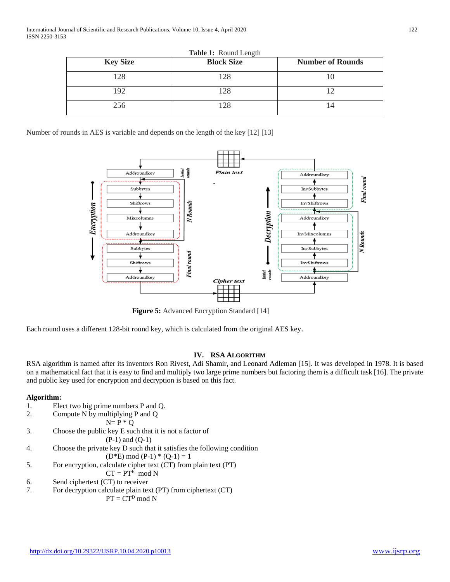International Journal of Scientific and Research Publications, Volume 10, Issue 4, April 2020 122 ISSN 2250-3153

| <b>Key Size</b> | <b>Block Size</b> | <b>Number of Rounds</b> |
|-----------------|-------------------|-------------------------|
| 128             | 128               |                         |
| 192             | 128               |                         |
| 256             | 128               | 14                      |

**Table 1:** Round Length

Number of rounds in AES is variable and depends on the length of the key [12] [13]



**Figure 5:** Advanced Encryption Standard [14]

Each round uses a different 128-bit round key, which is calculated from the original AES key.

#### **IV. RSA ALGORITHM**

RSA algorithm is named after its inventors Ron Rivest, Adi Shamir, and Leonard Adleman [15]. It was developed in 1978. It is based on a mathematical fact that it is easy to find and multiply two large prime numbers but factoring them is a difficult task [16]. The private and public key used for encryption and decryption is based on this fact.

#### **Algorithm:**

- 1. Elect two big prime numbers P and Q.
- 2. Compute N by multiplying P and Q

$$
N = P * Q
$$

3. Choose the public key E such that it is not a factor of

$$
(P-1) \text{ and } (Q-1)
$$

4. Choose the private key D such that it satisfies the following condition

 $(D*E) \mod (P-1) * (Q-1) = 1$ 

5. For encryption, calculate cipher text (CT) from plain text (PT)

$$
CT = PT^{E} \mod N
$$

- 6. Send ciphertext (CT) to receiver
- 7. For decryption calculate plain text (PT) from ciphertext (CT)

$$
PT = CT^D \mod N
$$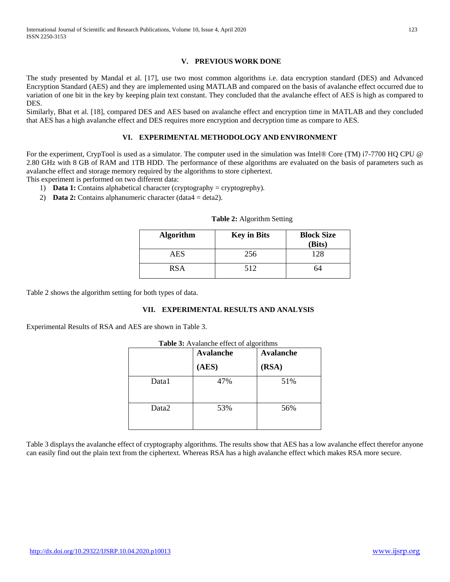## **V. PREVIOUS WORK DONE**

The study presented by Mandal et al. [17], use two most common algorithms i.e. data encryption standard (DES) and Advanced Encryption Standard (AES) and they are implemented using MATLAB and compared on the basis of avalanche effect occurred due to variation of one bit in the key by keeping plain text constant. They concluded that the avalanche effect of AES is high as compared to DES.

Similarly, Bhat et al. [18], compared DES and AES based on avalanche effect and encryption time in MATLAB and they concluded that AES has a high avalanche effect and DES requires more encryption and decryption time as compare to AES.

## **VI. EXPERIMENTAL METHODOLOGY AND ENVIRONMENT**

For the experiment, CrypTool is used as a simulator. The computer used in the simulation was Intel® Core (TM) i7-7700 HQ CPU @ 2.80 GHz with 8 GB of RAM and 1TB HDD. The performance of these algorithms are evaluated on the basis of parameters such as avalanche effect and storage memory required by the algorithms to store ciphertext.

This experiment is performed on two different data:

- 1) **Data 1:** Contains alphabetical character (cryptography = cryptogrephy).
- 2) **Data 2:** Contains alphanumeric character (data4 = deta2).

| <b>Algorithm</b> | <b>Key in Bits</b> | <b>Block Size</b><br>(Bits) |
|------------------|--------------------|-----------------------------|
| <b>AES</b>       | 256                | 128                         |
| <b>RSA</b>       | 512                | h4                          |

## **Table 2:** Algorithm Setting

Table 2 shows the algorithm setting for both types of data.

#### **VII. EXPERIMENTAL RESULTS AND ANALYSIS**

Experimental Results of RSA and AES are shown in Table 3.

| Table 3: Avalanche effect of algorithms |                  |                  |  |
|-----------------------------------------|------------------|------------------|--|
|                                         | <b>Avalanche</b> | <b>Avalanche</b> |  |
|                                         | (AES)            | (RSA)            |  |
| Data1                                   | 47%              | 51%              |  |
| Data2                                   | 53%              | 56%              |  |

Table 3 displays the avalanche effect of cryptography algorithms. The results show that AES has a low avalanche effect therefor anyone can easily find out the plain text from the ciphertext. Whereas RSA has a high avalanche effect which makes RSA more secure.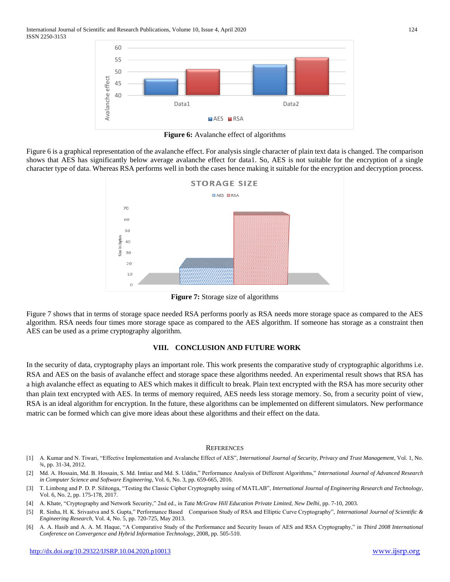

**Figure 6:** Avalanche effect of algorithms

Figure 6 is a graphical representation of the avalanche effect. For analysis single character of plain text data is changed. The comparison shows that AES has significantly below average avalanche effect for data1. So, AES is not suitable for the encryption of a single character type of data. Whereas RSA performs well in both the cases hence making it suitable for the encryption and decryption process.



**Figure 7:** Storage size of algorithms

Figure 7 shows that in terms of storage space needed RSA performs poorly as RSA needs more storage space as compared to the AES algorithm. RSA needs four times more storage space as compared to the AES algorithm. If someone has storage as a constraint then AES can be used as a prime cryptography algorithm.

## **VIII. CONCLUSION AND FUTURE WORK**

In the security of data, cryptography plays an important role. This work presents the comparative study of cryptographic algorithms i.e. RSA and AES on the basis of avalanche effect and storage space these algorithms needed. An experimental result shows that RSA has a high avalanche effect as equating to AES which makes it difficult to break. Plain text encrypted with the RSA has more security other than plain text encrypted with AES. In terms of memory required, AES needs less storage memory. So, from a security point of view, RSA is an ideal algorithm for encryption. In the future, these algorithms can be implemented on different simulators. New performance matric can be formed which can give more ideas about these algorithms and their effect on the data.

#### **REFERENCES**

- [1] A. Kumar and N. Tiwari, "Effective Implementation and Avalanche Effect of AES", *International Journal of Security, Privacy and Trust Management*, Vol. 1, No. ¾, pp. 31-34, 2012.
- [2] Md. A. Hossain, Md. B. Hossain, S. Md. Imtiaz and Md. S. Uddin," Performance Analysis of Different Algorithms," *International Journal of Advanced Research in Computer Science and Software Engineering*, Vol. 6, No. 3, pp. 659-665, 2016.
- [3] T. Limbong and P. D. P. Silitonga, "Testing the Classic Cipher Cryptography using of MATLAB", *International Journal of Engineering Research and Technology*, Vol. 6, No. 2, pp. 175-178, 2017.
- [4] A. Khate, "Cryptography and Network Security," 2nd ed., in *Tata McGraw Hill Education Private Limited, New Delhi*, pp. 7-10, 2003.
- [5] R. Sinha, H. K. Srivastva and S. Gupta," Performance Based Comparison Study of RSA and Elliptic Curve Cryptography", *International Journal of Scientific & Engineering Research*, Vol. 4, No. 5, pp. 720-725, May 2013.
- [6] A. A. Hasib and A. A. M. Haque, "A Comparative Study of the Performance and Security Issues of AES and RSA Cryptography," in *Third 2008 International Conference on Convergence and Hybrid Information Technology*, 2008, pp. 505-510.